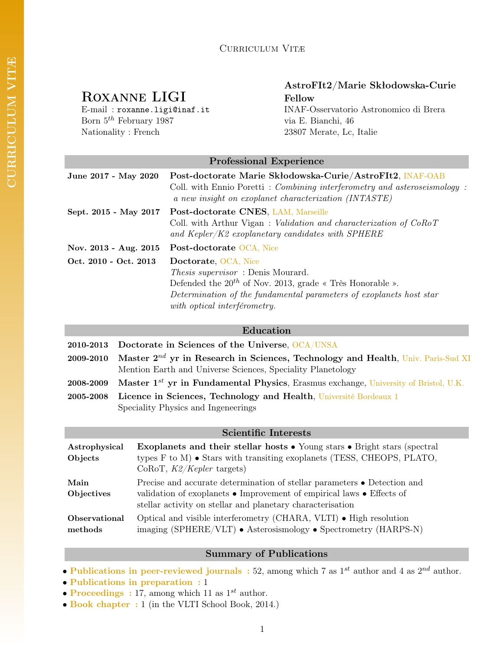# ROXANNE LIGI Fellow

Born  $5^{th}$  February 1987 via E. Bianchi, 46 Nationality : French 23807 Merate, Lc, Italie

# AstroFIt2/Marie Skłodowska-Curie

E-mail : roxanne.ligi@inaf.it INAF-Osservatorio Astronomico di Brera

# Professional Experience

| June 2017 - May 2020  | Post-doctorate Marie Skłodowska-Curie/AstroFIt2, INAF-OAB<br>Coll. with Ennio Poretti: Combining interferometry and asteroseismology:<br>a new insight on exoplanet characterization (INTASTE) |  |
|-----------------------|------------------------------------------------------------------------------------------------------------------------------------------------------------------------------------------------|--|
| Sept. 2015 - May 2017 | Post-doctorate CNES, LAM, Marseille<br>Coll. with Arthur Vigan: <i>Validation and characterization of CoRoT</i><br>and Kepler/K2 exoplanetary candidates with SPHERE                           |  |
| Nov. 2013 - Aug. 2015 | Post-doctorate OCA, Nice                                                                                                                                                                       |  |
| Oct. 2010 - Oct. 2013 | Doctorate, OCA, Nice                                                                                                                                                                           |  |
|                       | <i>Thesis supervisor</i> : Denis Mourard.                                                                                                                                                      |  |
|                       | Defended the $20^{th}$ of Nov. 2013, grade « Très Honorable ».                                                                                                                                 |  |
|                       | Determination of the fundamental parameters of exoplanets host star                                                                                                                            |  |
|                       | with optical interférometry.                                                                                                                                                                   |  |

#### Education

|           | 2010-2013 Doctorate in Sciences of the Universe, OCA/UNSA                                       |  |
|-----------|-------------------------------------------------------------------------------------------------|--|
|           | 2009-2010 Master $2^{nd}$ yr in Research in Sciences, Technology and Health, Univ. Paris-Sud XI |  |
|           | Mention Earth and Universe Sciences, Speciality Planetology                                     |  |
| 2008-2009 | Master 1 <sup>st</sup> yr in Fundamental Physics, Erasmus exchange, University of Bristol, U.K. |  |

2005-2008 Licence in Sciences, Technology and Health, Université Bordeaux 1 Speciality Physics and Ingeneerings

#### Scientific Interests

| Astrophysical<br>Objects        | <b>Exoplanets and their stellar hosts •</b> Young stars • Bright stars (spectral<br>types $F$ to $M$ ) $\bullet$ Stars with transiting exoplanets (TESS, CHEOPS, PLATO,<br>$CoRoT, K2/Kepler$ targets)                          |
|---------------------------------|---------------------------------------------------------------------------------------------------------------------------------------------------------------------------------------------------------------------------------|
| Main<br>Objectives              | Precise and accurate determination of stellar parameters • Detection and<br>validation of exoplanets $\bullet$ Improvement of empirical laws $\bullet$ Effects of<br>stellar activity on stellar and planetary characterisation |
| <b>Observational</b><br>methods | Optical and visible interferometry (CHARA, VLTI) • High resolution<br>imaging (SPHERE/VLT) • Asterosismology • Spectrometry (HARPS-N)                                                                                           |

# Summary of Publications

• Publications in peer-reviewed journals : 52, among which 7 as  $1^{st}$  author and 4 as  $2^{nd}$  author.

- Publications in preparation : 1
- Proceedings : 17, among which 11 as  $1^{st}$  author.
- Book chapter : 1 (in the VLTI School Book, 2014.)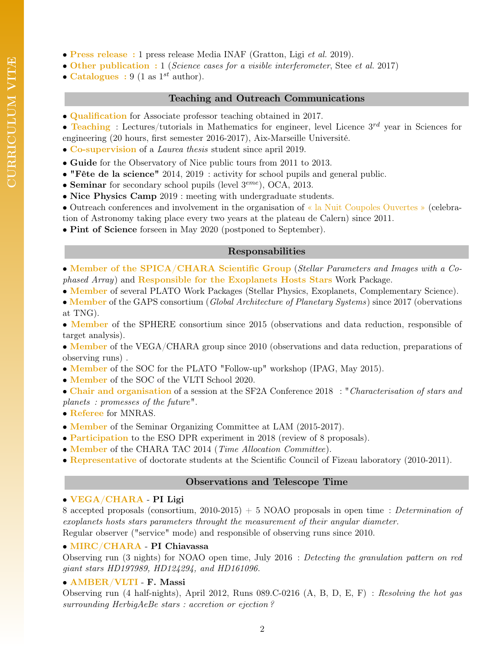- Press release : 1 press release Media INAF (Gratton, Ligi et al. 2019).
- Other publication : 1 (Science cases for a visible interferometer, Stee et al. 2017)
- Catalogues : 9 (1 as  $1^{st}$  author).

#### Teaching and Outreach Communications

- Qualification for Associate professor teaching obtained in 2017.
- Teaching : Lectures/tutorials in Mathematics for engineer, level Licence  $3^{rd}$  year in Sciences for engineering (20 hours, first semester 2016-2017), Aix-Marseille Université.
- Co-supervision of a Laurea thesis student since april 2019.
- Guide for the Observatory of Nice public tours from 2011 to 2013.
- "Fête de la science" 2014, 2019 : activity for school pupils and general public.
- Seminar for secondary school pupils (level  $3^{eme}$ ), OCA, 2013.
- Nice Physics Camp 2019 : meeting with undergraduate students.
- Outreach conferences and involvement in the organisation of « la Nuit Coupoles Ouvertes » (celebra-
- tion of Astronomy taking place every two years at the plateau de Calern) since 2011.
- Pint of Science forseen in May 2020 (postponed to September).

# Responsabilities

- Member of the SPICA/CHARA Scientific Group (Stellar Parameters and Images with a Cophased Array) and Responsible for the Exoplanets Hosts Stars Work Package.
- Member of several PLATO Work Packages (Stellar Physics, Exoplanets, Complementary Science).
- Member of the GAPS consortium (Global Architecture of Planetary Systems) since 2017 (obervations at TNG).
- Member of the SPHERE consortium since 2015 (observations and data reduction, responsible of target analysis).
- Member of the VEGA/CHARA group since 2010 (observations and data reduction, preparations of observing runs) .
- Member of the SOC for the PLATO "Follow-up" workshop (IPAG, May 2015).
- Member of the SOC of the VLTI School 2020.
- Chair and organisation of a session at the SF2A Conference 2018 : "Characterisation of stars and planets : promesses of the future".
- Referee for MNRAS.
- **Member** of the Seminar Organizing Committee at LAM (2015-2017).
- Participation to the ESO DPR experiment in 2018 (review of 8 proposals).
- Member of the CHARA TAC 2014 (Time Allocation Committee).
- Representative of doctorate students at the Scientific Council of Fizeau laboratory (2010-2011).

# Observations and Telescope Time

# • VEGA/CHARA - PI Ligi

8 accepted proposals (consortium, 2010-2015) + 5 NOAO proposals in open time : Determination of exoplanets hosts stars parameters throught the measurement of their angular diameter. Regular observer ("service" mode) and responsible of observing runs since 2010.

# • MIRC/CHARA - PI Chiavassa

Observing run (3 nights) for NOAO open time, July 2016 : Detecting the granulation pattern on red giant stars HD197989, HD124294, and HD161096.

# • AMBER/VLTI - F. Massi

Observing run (4 half-nights), April 2012, Runs 089.C-0216 (A, B, D, E, F) : Resolving the hot gas surrounding HerbigAeBe stars : accretion or ejection ?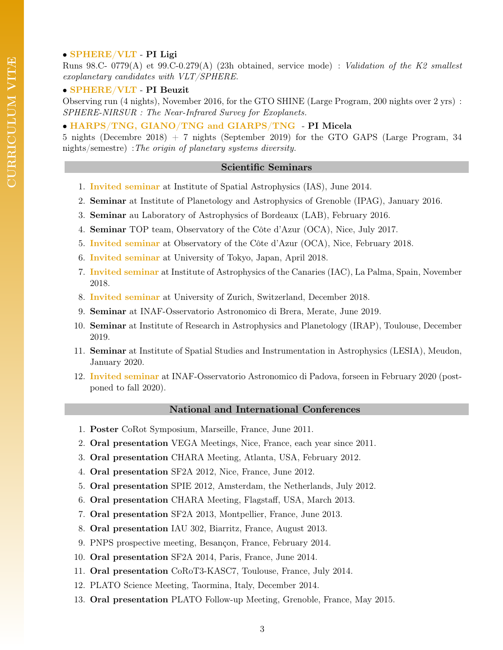#### • SPHERE/VLT - PI Ligi

Runs 98.C- 0779(A) et 99.C-0.279(A) (23h obtained, service mode) : Validation of the K2 smallest exoplanetary candidates with VLT/SPHERE.

#### • SPHERE/VLT - PI Beuzit

Observing run (4 nights), November 2016, for the GTO SHINE (Large Program, 200 nights over 2 yrs) : SPHERE-NIRSUR : The Near-Infrared Survey for Exoplanets.

• HARPS/TNG, GIANO/TNG and GIARPS/TNG - PI Micela

5 nights (Decembre 2018) + 7 nights (September 2019) for the GTO GAPS (Large Program, 34 nights/semestre) :The origin of planetary systems diversity.

#### Scientific Seminars

- 1. Invited seminar at Institute of Spatial Astrophysics (IAS), June 2014.
- 2. Seminar at Institute of Planetology and Astrophysics of Grenoble (IPAG), January 2016.
- 3. Seminar au Laboratory of Astrophysics of Bordeaux (LAB), February 2016.
- 4. Seminar TOP team, Observatory of the Côte d'Azur (OCA), Nice, July 2017.
- 5. Invited seminar at Observatory of the Côte d'Azur (OCA), Nice, February 2018.
- 6. Invited seminar at University of Tokyo, Japan, April 2018.
- 7. Invited seminar at Institute of Astrophysics of the Canaries (IAC), La Palma, Spain, November 2018.
- 8. Invited seminar at University of Zurich, Switzerland, December 2018.
- 9. Seminar at INAF-Osservatorio Astronomico di Brera, Merate, June 2019.
- 10. Seminar at Institute of Research in Astrophysics and Planetology (IRAP), Toulouse, December 2019.
- 11. Seminar at Institute of Spatial Studies and Instrumentation in Astrophysics (LESIA), Meudon, January 2020.
- 12. Invited seminar at INAF-Osservatorio Astronomico di Padova, forseen in February 2020 (postponed to fall 2020).

#### National and International Conferences

- 1. Poster CoRot Symposium, Marseille, France, June 2011.
- 2. Oral presentation VEGA Meetings, Nice, France, each year since 2011.
- 3. Oral presentation CHARA Meeting, Atlanta, USA, February 2012.
- 4. Oral presentation SF2A 2012, Nice, France, June 2012.
- 5. Oral presentation SPIE 2012, Amsterdam, the Netherlands, July 2012.
- 6. Oral presentation CHARA Meeting, Flagstaff, USA, March 2013.
- 7. Oral presentation SF2A 2013, Montpellier, France, June 2013.
- 8. Oral presentation IAU 302, Biarritz, France, August 2013.
- 9. PNPS prospective meeting, Besançon, France, February 2014.
- 10. Oral presentation SF2A 2014, Paris, France, June 2014.
- 11. Oral presentation CoRoT3-KASC7, Toulouse, France, July 2014.
- 12. PLATO Science Meeting, Taormina, Italy, December 2014.
- 13. Oral presentation PLATO Follow-up Meeting, Grenoble, France, May 2015.